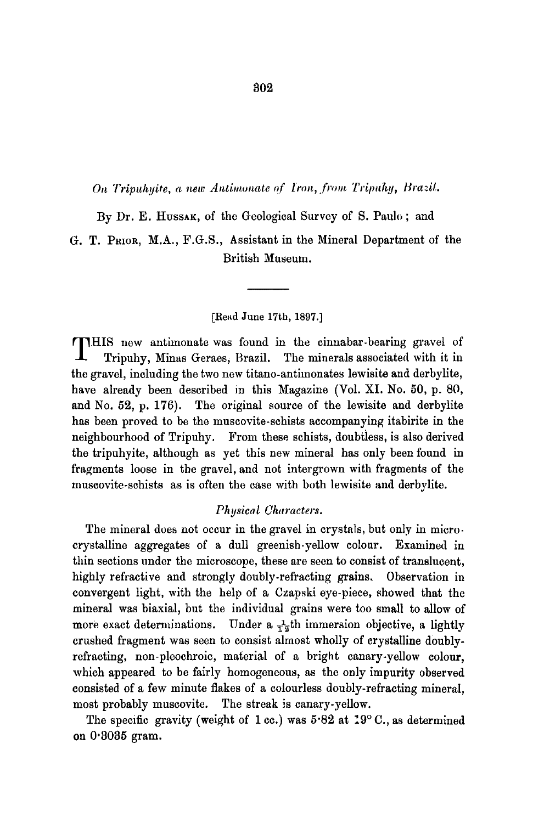*On Tripuhyite, a new Antimonate of Iron, from Tripuhy, Brazil.* 

By Dr. E. HUSSAK, of the Geological Survey of S. Paulo; and

G. T. PRIOR, M.A., F.G.S., Assistant in the Mineral Department of the British Museum.

## [Read June 17th, 1897.]

THIS new antimonate was found in the cinnabar-bearing gravel of Tripuhy, Minas Geraes, Brazil. The minerals associated with it in the gravel, including the two new titano-antimonates lewisite and derbylite, have already been described in this Magazine (Vol. XI. No. 50, p. 80, and No. 52, p. 176). The original source of the lewisite and derbylite has been proved to be the muscovite-schists accompanying itabirite in the neighbourhood of Tripuhy. From these schists, doubtless, is also derived the tripuhyite, although as yet this new mineral has only been found in fragments loose in the gravel, and not intergrown with fragments of the muscovite-schists as is often the case with both lewisite and derbylite.

## *Physical Characters.*

The mineral does not occur in the gravel in crystals, but only in microcrystalline aggregates of a dull greenish-yellow colour. Examined in thin sections under the microscope, these are seen to consist of translucent, highly refractive and strongly doubly-refracting grains. Observation in convergent light, with the help of a Czapski eye-piece, showed that the mineral was biaxial, but the individual grains were too small to allow of more exact determinations. Under a  $\frac{1}{12}$ th immersion objective, a lightly crushed fragment was seen to consist almost wholly of crystalline doublyrefracting, non-pleochroic, material of a bright canary-yellow colour, which appeared to be fairly homogeneous, as the only impurity observed consisted of a few minute flakes of a colourless doubly-refracting mineral, most probably muscovite. The streak is canary-yellow.

The specific gravity (weight of 1 cc.) was  $5.82$  at  $19^{\circ}$  C., as determined on 0'3035 gram.